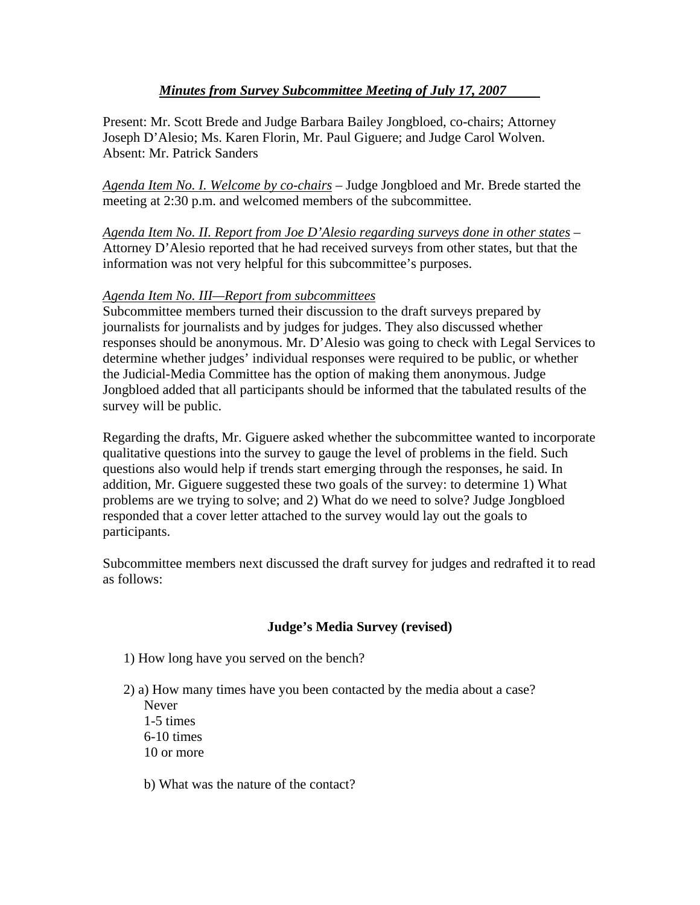# *Minutes from Survey Subcommittee Meeting of July 17, 2007*

Present: Mr. Scott Brede and Judge Barbara Bailey Jongbloed, co-chairs; Attorney Joseph D'Alesio; Ms. Karen Florin, Mr. Paul Giguere; and Judge Carol Wolven. Absent: Mr. Patrick Sanders

*Agenda Item No. I. Welcome by co-chairs* – Judge Jongbloed and Mr. Brede started the meeting at 2:30 p.m. and welcomed members of the subcommittee.

*Agenda Item No. II. Report from Joe D'Alesio regarding surveys done in other states* – Attorney D'Alesio reported that he had received surveys from other states, but that the information was not very helpful for this subcommittee's purposes.

## *Agenda Item No. III—Report from subcommittees*

Subcommittee members turned their discussion to the draft surveys prepared by journalists for journalists and by judges for judges. They also discussed whether responses should be anonymous. Mr. D'Alesio was going to check with Legal Services to determine whether judges' individual responses were required to be public, or whether the Judicial-Media Committee has the option of making them anonymous. Judge Jongbloed added that all participants should be informed that the tabulated results of the survey will be public.

Regarding the drafts, Mr. Giguere asked whether the subcommittee wanted to incorporate qualitative questions into the survey to gauge the level of problems in the field. Such questions also would help if trends start emerging through the responses, he said. In addition, Mr. Giguere suggested these two goals of the survey: to determine 1) What problems are we trying to solve; and 2) What do we need to solve? Judge Jongbloed responded that a cover letter attached to the survey would lay out the goals to participants.

Subcommittee members next discussed the draft survey for judges and redrafted it to read as follows:

## **Judge's Media Survey (revised)**

1) How long have you served on the bench?

2) a) How many times have you been contacted by the media about a case?

 Never 1-5 times 6-10 times 10 or more

b) What was the nature of the contact?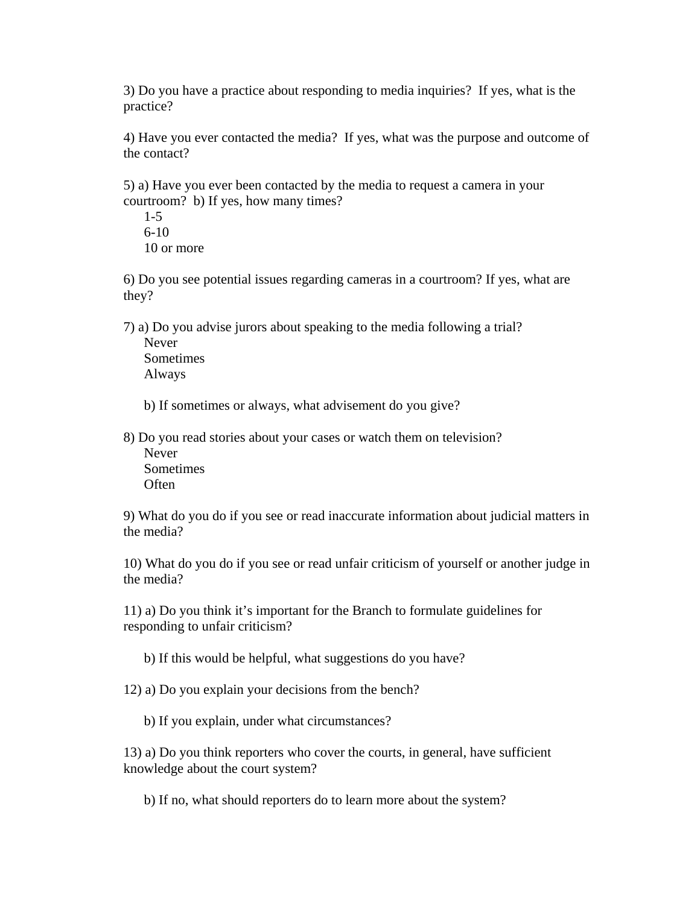3) Do you have a practice about responding to media inquiries? If yes, what is the practice?

4) Have you ever contacted the media? If yes, what was the purpose and outcome of the contact?

5) a) Have you ever been contacted by the media to request a camera in your courtroom? b) If yes, how many times?

 1-5 6-10 10 or more

6) Do you see potential issues regarding cameras in a courtroom? If yes, what are they?

7) a) Do you advise jurors about speaking to the media following a trial? Never Sometimes Always

b) If sometimes or always, what advisement do you give?

8) Do you read stories about your cases or watch them on television? Never **Sometimes Often** 

9) What do you do if you see or read inaccurate information about judicial matters in the media?

10) What do you do if you see or read unfair criticism of yourself or another judge in the media?

11) a) Do you think it's important for the Branch to formulate guidelines for responding to unfair criticism?

b) If this would be helpful, what suggestions do you have?

12) a) Do you explain your decisions from the bench?

b) If you explain, under what circumstances?

13) a) Do you think reporters who cover the courts, in general, have sufficient knowledge about the court system?

b) If no, what should reporters do to learn more about the system?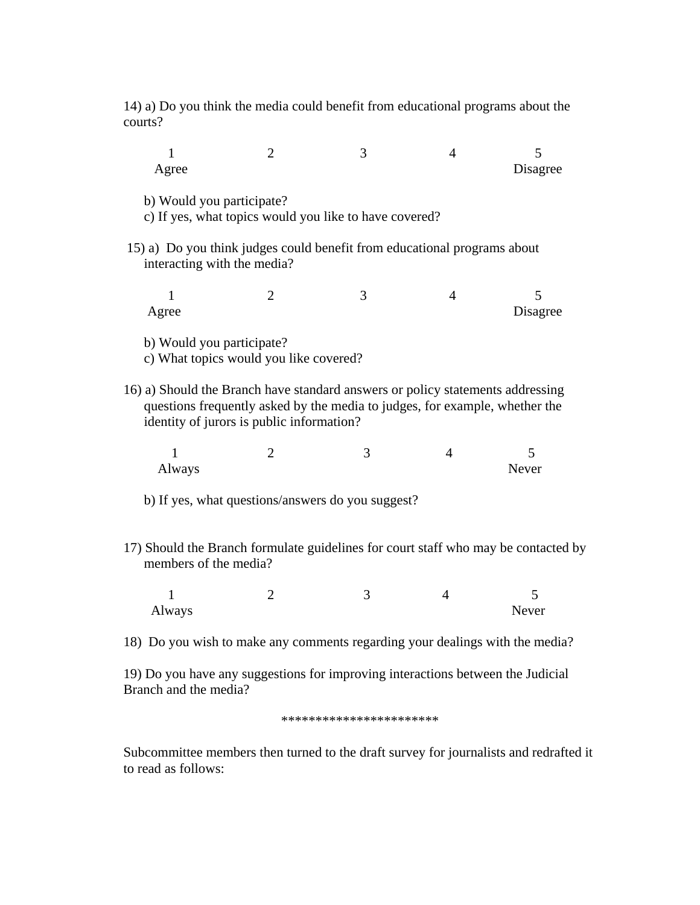14) a) Do you think the media could benefit from educational programs about the courts?

| T                                                                                                                                                                                                          | $\overline{2}$                                                      | 3                                                      | $\overline{4}$ | 5                                                                                  |  |  |
|------------------------------------------------------------------------------------------------------------------------------------------------------------------------------------------------------------|---------------------------------------------------------------------|--------------------------------------------------------|----------------|------------------------------------------------------------------------------------|--|--|
| Agree                                                                                                                                                                                                      |                                                                     |                                                        |                | Disagree                                                                           |  |  |
| b) Would you participate?                                                                                                                                                                                  |                                                                     | c) If yes, what topics would you like to have covered? |                |                                                                                    |  |  |
| 15) a) Do you think judges could benefit from educational programs about<br>interacting with the media?                                                                                                    |                                                                     |                                                        |                |                                                                                    |  |  |
| $\mathbf{1}$<br>Agree                                                                                                                                                                                      | $\overline{2}$                                                      | 3                                                      | $\overline{4}$ | 5<br>Disagree                                                                      |  |  |
|                                                                                                                                                                                                            | b) Would you participate?<br>c) What topics would you like covered? |                                                        |                |                                                                                    |  |  |
| 16) a) Should the Branch have standard answers or policy statements addressing<br>questions frequently asked by the media to judges, for example, whether the<br>identity of jurors is public information? |                                                                     |                                                        |                |                                                                                    |  |  |
| 1<br>Always                                                                                                                                                                                                | $\overline{2}$                                                      | 3                                                      | $\overline{4}$ | $\overline{\mathcal{L}}$<br>Never                                                  |  |  |
| b) If yes, what questions/answers do you suggest?                                                                                                                                                          |                                                                     |                                                        |                |                                                                                    |  |  |
| members of the media?                                                                                                                                                                                      |                                                                     |                                                        |                | 17) Should the Branch formulate guidelines for court staff who may be contacted by |  |  |
| 1<br>Always                                                                                                                                                                                                | $\overline{2}$                                                      | 3                                                      | $\overline{4}$ | 5<br>Never                                                                         |  |  |
| 18) Do you wish to make any comments regarding your dealings with the media?                                                                                                                               |                                                                     |                                                        |                |                                                                                    |  |  |

19) Do you have any suggestions for improving interactions between the Judicial Branch and the media?

\*\*\*\*\*\*\*\*\*\*\*\*\*\*\*\*\*\*\*\*\*\*\*

Subcommittee members then turned to the draft survey for journalists and redrafted it to read as follows: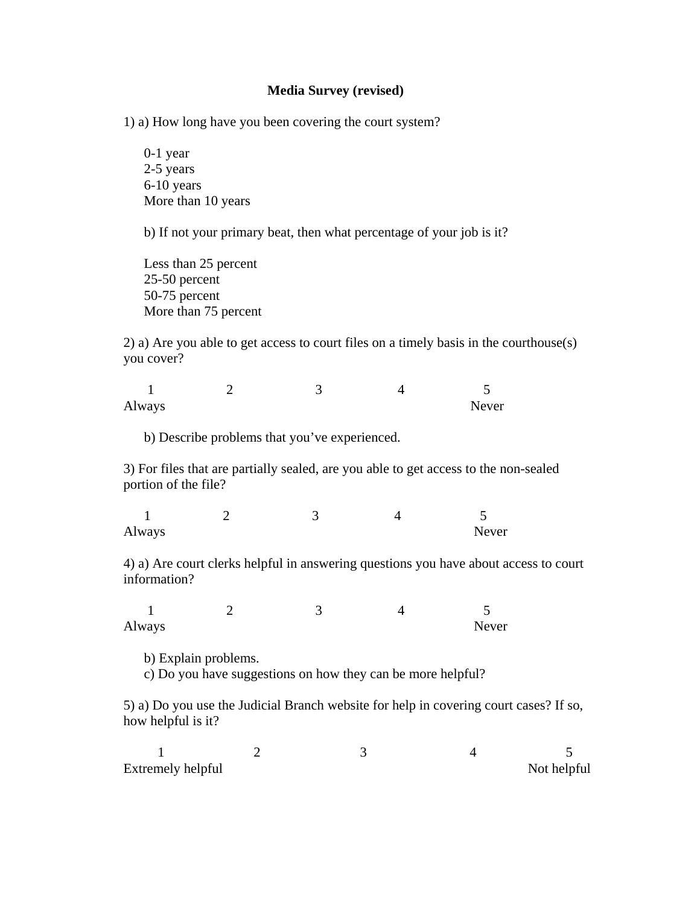### **Media Survey (revised)**

1) a) How long have you been covering the court system?

 0-1 year 2-5 years 6-10 years More than 10 years

b) If not your primary beat, then what percentage of your job is it?

Less than 25 percent 25-50 percent 50-75 percent More than 75 percent

2) a) Are you able to get access to court files on a timely basis in the courthouse(s) you cover?

1 2 3 4 5 Always Never

b) Describe problems that you've experienced.

3) For files that are partially sealed, are you able to get access to the non-sealed portion of the file?

| Always |  | Never |
|--------|--|-------|

4) a) Are court clerks helpful in answering questions you have about access to court information?

1 2 3 4 5 Always Never

b) Explain problems.

c) Do you have suggestions on how they can be more helpful?

5) a) Do you use the Judicial Branch website for help in covering court cases? If so, how helpful is it?

| Extremely helpful |  | Not helpful |
|-------------------|--|-------------|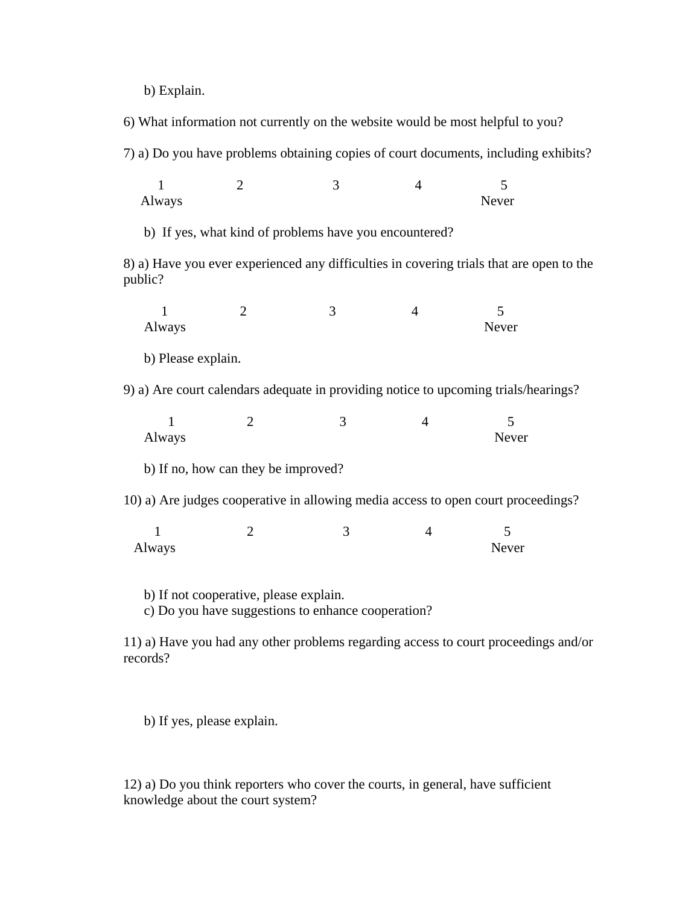b) Explain.

6) What information not currently on the website would be most helpful to you?

7) a) Do you have problems obtaining copies of court documents, including exhibits?

1 2 3 4 5 Always Never

b) If yes, what kind of problems have you encountered?

8) a) Have you ever experienced any difficulties in covering trials that are open to the public?

1 2 3 4 5 Always Never

b) Please explain.

9) a) Are court calendars adequate in providing notice to upcoming trials/hearings?

| Always |                                     |  | Never |
|--------|-------------------------------------|--|-------|
|        | b) If no, how can they be improved? |  |       |

10) a) Are judges cooperative in allowing media access to open court proceedings?

| Always |  | Never |
|--------|--|-------|

b) If not cooperative, please explain.

c) Do you have suggestions to enhance cooperation?

11) a) Have you had any other problems regarding access to court proceedings and/or records?

b) If yes, please explain.

12) a) Do you think reporters who cover the courts, in general, have sufficient knowledge about the court system?